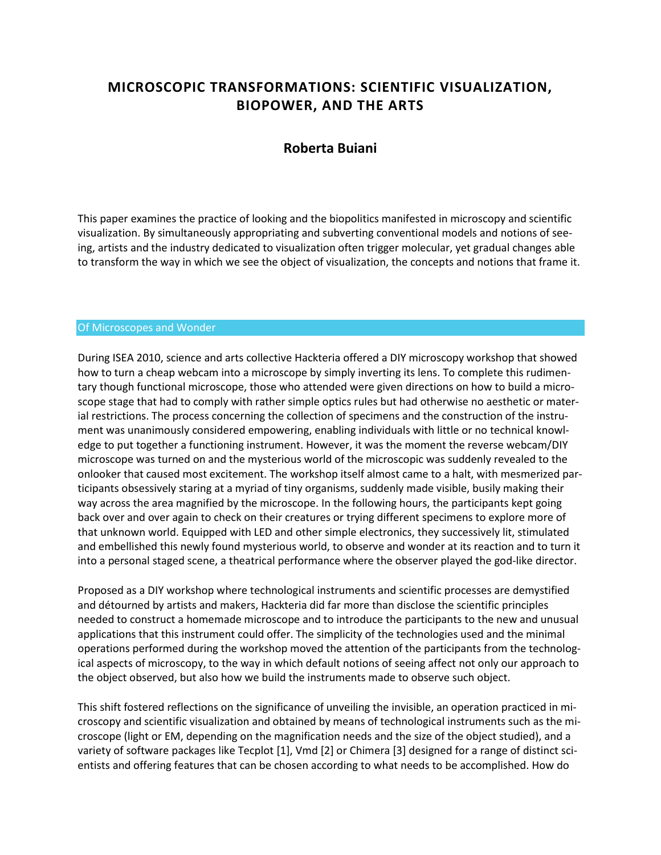# **MICROSCOPIC TRANSFORMATIONS: SCIENTIFIC VISUALIZATION, BIOPOWER, AND THE ARTS**

## **Roberta Buiani**

This paper examines the practice of looking and the biopolitics manifested in microscopy and scientific visualization. By simultaneously appropriating and subverting conventional models and notions of seeing, artists and the industry dedicated to visualization often trigger molecular, yet gradual changes able to transform the way in which we see the object of visualization, the concepts and notions that frame it.

#### Of Microscopes and Wonder

During ISEA 2010, science and arts collective Hackteria offered a DIY microscopy workshop that showed how to turn a cheap webcam into a microscope by simply inverting its lens. To complete this rudimentary though functional microscope, those who attended were given directions on how to build a microscope stage that had to comply with rather simple optics rules but had otherwise no aesthetic or material restrictions. The process concerning the collection of specimens and the construction of the instrument was unanimously considered empowering, enabling individuals with little or no technical knowledge to put together a functioning instrument. However, it was the moment the reverse webcam/DIY microscope was turned on and the mysterious world of the microscopic was suddenly revealed to the onlooker that caused most excitement. The workshop itself almost came to a halt, with mesmerized participants obsessively staring at a myriad of tiny organisms, suddenly made visible, busily making their way across the area magnified by the microscope. In the following hours, the participants kept going back over and over again to check on their creatures or trying different specimens to explore more of that unknown world. Equipped with LED and other simple electronics, they successively lit, stimulated and embellished this newly found mysterious world, to observe and wonder at its reaction and to turn it into a personal staged scene, a theatrical performance where the observer played the god-like director.

Proposed as a DIY workshop where technological instruments and scientific processes are demystified and détourned by artists and makers, Hackteria did far more than disclose the scientific principles needed to construct a homemade microscope and to introduce the participants to the new and unusual applications that this instrument could offer. The simplicity of the technologies used and the minimal operations performed during the workshop moved the attention of the participants from the technological aspects of microscopy, to the way in which default notions of seeing affect not only our approach to the object observed, but also how we build the instruments made to observe such object.

This shift fostered reflections on the significance of unveiling the invisible, an operation practiced in microscopy and scientific visualization and obtained by means of technological instruments such as the microscope (light or EM, depending on the magnification needs and the size of the object studied), and a variety of software packages like Tecplot [1], Vmd [2] or Chimera [3] designed for a range of distinct scientists and offering features that can be chosen according to what needs to be accomplished. How do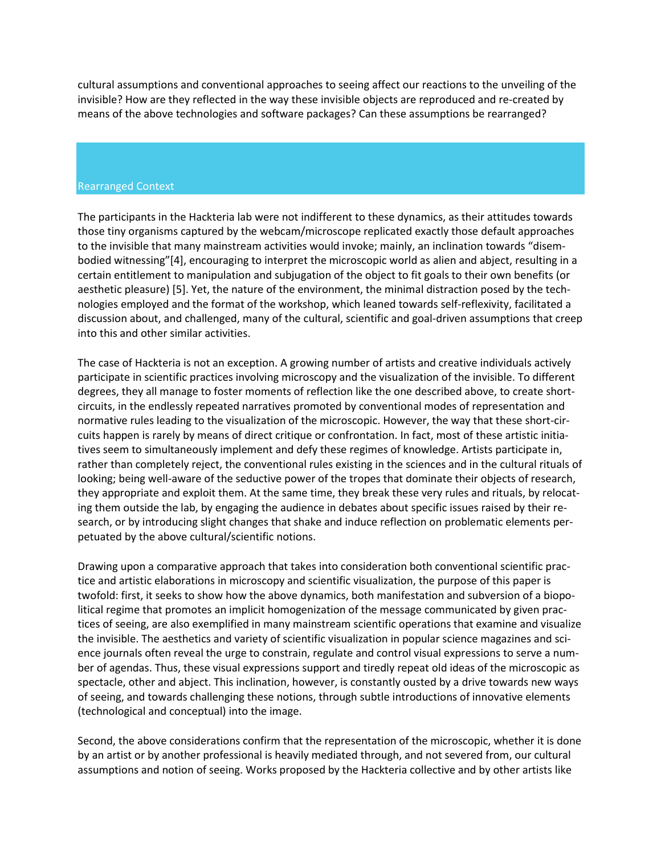cultural assumptions and conventional approaches to seeing affect our reactions to the unveiling of the invisible? How are they reflected in the way these invisible objects are reproduced and re-created by means of the above technologies and software packages? Can these assumptions be rearranged?

#### Rearranged Context

The participants in the Hackteria lab were not indifferent to these dynamics, as their attitudes towards those tiny organisms captured by the webcam/microscope replicated exactly those default approaches to the invisible that many mainstream activities would invoke; mainly, an inclination towards "disembodied witnessing"[4], encouraging to interpret the microscopic world as alien and abject, resulting in a certain entitlement to manipulation and subjugation of the object to fit goals to their own benefits (or aesthetic pleasure) [5]. Yet, the nature of the environment, the minimal distraction posed by the technologies employed and the format of the workshop, which leaned towards self-reflexivity, facilitated a discussion about, and challenged, many of the cultural, scientific and goal-driven assumptions that creep into this and other similar activities.

The case of Hackteria is not an exception. A growing number of artists and creative individuals actively participate in scientific practices involving microscopy and the visualization of the invisible. To different degrees, they all manage to foster moments of reflection like the one described above, to create shortcircuits, in the endlessly repeated narratives promoted by conventional modes of representation and normative rules leading to the visualization of the microscopic. However, the way that these short-circuits happen is rarely by means of direct critique or confrontation. In fact, most of these artistic initiatives seem to simultaneously implement and defy these regimes of knowledge. Artists participate in, rather than completely reject, the conventional rules existing in the sciences and in the cultural rituals of looking; being well-aware of the seductive power of the tropes that dominate their objects of research, they appropriate and exploit them. At the same time, they break these very rules and rituals, by relocating them outside the lab, by engaging the audience in debates about specific issues raised by their research, or by introducing slight changes that shake and induce reflection on problematic elements perpetuated by the above cultural/scientific notions.

Drawing upon a comparative approach that takes into consideration both conventional scientific practice and artistic elaborations in microscopy and scientific visualization, the purpose of this paper is twofold: first, it seeks to show how the above dynamics, both manifestation and subversion of a biopolitical regime that promotes an implicit homogenization of the message communicated by given practices of seeing, are also exemplified in many mainstream scientific operations that examine and visualize the invisible. The aesthetics and variety of scientific visualization in popular science magazines and science journals often reveal the urge to constrain, regulate and control visual expressions to serve a number of agendas. Thus, these visual expressions support and tiredly repeat old ideas of the microscopic as spectacle, other and abject. This inclination, however, is constantly ousted by a drive towards new ways of seeing, and towards challenging these notions, through subtle introductions of innovative elements (technological and conceptual) into the image.

Second, the above considerations confirm that the representation of the microscopic, whether it is done by an artist or by another professional is heavily mediated through, and not severed from, our cultural assumptions and notion of seeing. Works proposed by the Hackteria collective and by other artists like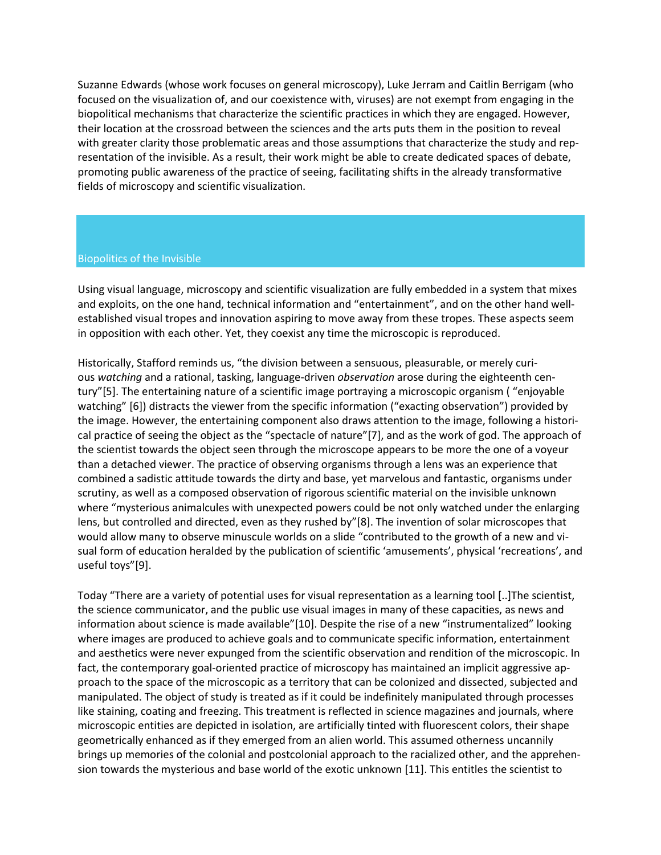Suzanne Edwards (whose work focuses on general microscopy), Luke Jerram and Caitlin Berrigam (who focused on the visualization of, and our coexistence with, viruses) are not exempt from engaging in the biopolitical mechanisms that characterize the scientific practices in which they are engaged. However, their location at the crossroad between the sciences and the arts puts them in the position to reveal with greater clarity those problematic areas and those assumptions that characterize the study and representation of the invisible. As a result, their work might be able to create dedicated spaces of debate, promoting public awareness of the practice of seeing, facilitating shifts in the already transformative fields of microscopy and scientific visualization.

#### Biopolitics of the Invisible

Using visual language, microscopy and scientific visualization are fully embedded in a system that mixes and exploits, on the one hand, technical information and "entertainment", and on the other hand wellestablished visual tropes and innovation aspiring to move away from these tropes. These aspects seem in opposition with each other. Yet, they coexist any time the microscopic is reproduced.

Historically, Stafford reminds us, "the division between a sensuous, pleasurable, or merely curious *watching* and a rational, tasking, language-driven *observation* arose during the eighteenth century"[5]. The entertaining nature of a scientific image portraying a microscopic organism ( "enjoyable watching" [6]) distracts the viewer from the specific information ("exacting observation") provided by the image. However, the entertaining component also draws attention to the image, following a historical practice of seeing the object as the "spectacle of nature"[7], and as the work of god. The approach of the scientist towards the object seen through the microscope appears to be more the one of a voyeur than a detached viewer. The practice of observing organisms through a lens was an experience that combined a sadistic attitude towards the dirty and base, yet marvelous and fantastic, organisms under scrutiny, as well as a composed observation of rigorous scientific material on the invisible unknown where "mysterious animalcules with unexpected powers could be not only watched under the enlarging lens, but controlled and directed, even as they rushed by"[8]. The invention of solar microscopes that would allow many to observe minuscule worlds on a slide "contributed to the growth of a new and visual form of education heralded by the publication of scientific 'amusements', physical 'recreations', and useful toys"[9].

Today "There are a variety of potential uses for visual representation as a learning tool [..]The scientist, the science communicator, and the public use visual images in many of these capacities, as news and information about science is made available"[10]. Despite the rise of a new "instrumentalized" looking where images are produced to achieve goals and to communicate specific information, entertainment and aesthetics were never expunged from the scientific observation and rendition of the microscopic. In fact, the contemporary goal-oriented practice of microscopy has maintained an implicit aggressive approach to the space of the microscopic as a territory that can be colonized and dissected, subjected and manipulated. The object of study is treated as if it could be indefinitely manipulated through processes like staining, coating and freezing. This treatment is reflected in science magazines and journals, where microscopic entities are depicted in isolation, are artificially tinted with fluorescent colors, their shape geometrically enhanced as if they emerged from an alien world. This assumed otherness uncannily brings up memories of the colonial and postcolonial approach to the racialized other, and the apprehension towards the mysterious and base world of the exotic unknown [11]. This entitles the scientist to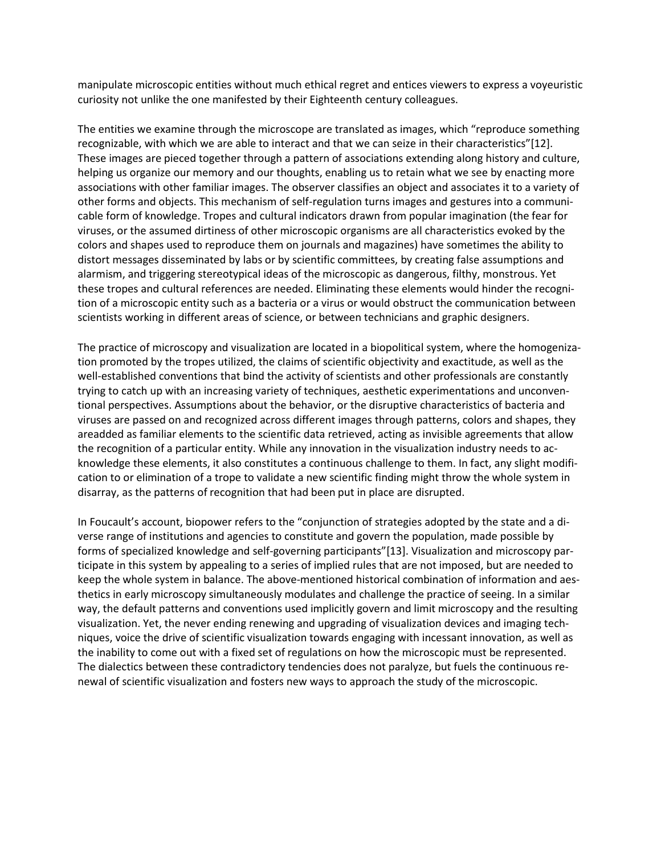manipulate microscopic entities without much ethical regret and entices viewers to express a voyeuristic curiosity not unlike the one manifested by their Eighteenth century colleagues.

The entities we examine through the microscope are translated as images, which "reproduce something recognizable, with which we are able to interact and that we can seize in their characteristics"[12]. These images are pieced together through a pattern of associations extending along history and culture, helping us organize our memory and our thoughts, enabling us to retain what we see by enacting more associations with other familiar images. The observer classifies an object and associates it to a variety of other forms and objects. This mechanism of self-regulation turns images and gestures into a communicable form of knowledge. Tropes and cultural indicators drawn from popular imagination (the fear for viruses, or the assumed dirtiness of other microscopic organisms are all characteristics evoked by the colors and shapes used to reproduce them on journals and magazines) have sometimes the ability to distort messages disseminated by labs or by scientific committees, by creating false assumptions and alarmism, and triggering stereotypical ideas of the microscopic as dangerous, filthy, monstrous. Yet these tropes and cultural references are needed. Eliminating these elements would hinder the recognition of a microscopic entity such as a bacteria or a virus or would obstruct the communication between scientists working in different areas of science, or between technicians and graphic designers.

The practice of microscopy and visualization are located in a biopolitical system, where the homogenization promoted by the tropes utilized, the claims of scientific objectivity and exactitude, as well as the well-established conventions that bind the activity of scientists and other professionals are constantly trying to catch up with an increasing variety of techniques, aesthetic experimentations and unconventional perspectives. Assumptions about the behavior, or the disruptive characteristics of bacteria and viruses are passed on and recognized across different images through patterns, colors and shapes, they areadded as familiar elements to the scientific data retrieved, acting as invisible agreements that allow the recognition of a particular entity. While any innovation in the visualization industry needs to acknowledge these elements, it also constitutes a continuous challenge to them. In fact, any slight modification to or elimination of a trope to validate a new scientific finding might throw the whole system in disarray, as the patterns of recognition that had been put in place are disrupted.

In Foucault's account, biopower refers to the "conjunction of strategies adopted by the state and a diverse range of institutions and agencies to constitute and govern the population, made possible by forms of specialized knowledge and self-governing participants"[13]. Visualization and microscopy participate in this system by appealing to a series of implied rules that are not imposed, but are needed to keep the whole system in balance. The above-mentioned historical combination of information and aesthetics in early microscopy simultaneously modulates and challenge the practice of seeing. In a similar way, the default patterns and conventions used implicitly govern and limit microscopy and the resulting visualization. Yet, the never ending renewing and upgrading of visualization devices and imaging techniques, voice the drive of scientific visualization towards engaging with incessant innovation, as well as the inability to come out with a fixed set of regulations on how the microscopic must be represented. The dialectics between these contradictory tendencies does not paralyze, but fuels the continuous renewal of scientific visualization and fosters new ways to approach the study of the microscopic.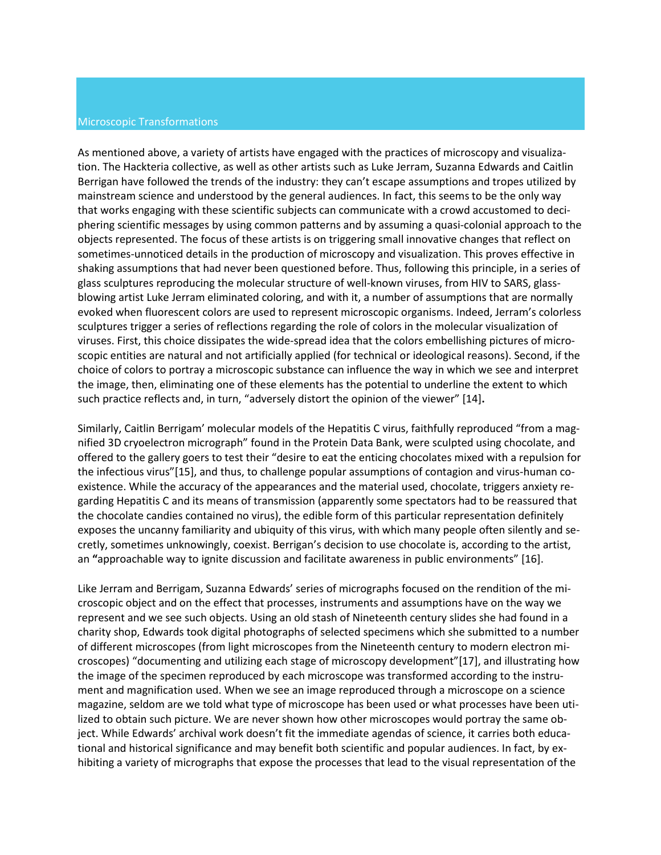#### Microscopic Transformations

As mentioned above, a variety of artists have engaged with the practices of microscopy and visualization. The Hackteria collective, as well as other artists such as Luke Jerram, Suzanna Edwards and Caitlin Berrigan have followed the trends of the industry: they can't escape assumptions and tropes utilized by mainstream science and understood by the general audiences. In fact, this seems to be the only way that works engaging with these scientific subjects can communicate with a crowd accustomed to deciphering scientific messages by using common patterns and by assuming a quasi-colonial approach to the objects represented. The focus of these artists is on triggering small innovative changes that reflect on sometimes-unnoticed details in the production of microscopy and visualization. This proves effective in shaking assumptions that had never been questioned before. Thus, following this principle, in a series of glass sculptures reproducing the molecular structure of well-known viruses, from HIV to SARS, glassblowing artist Luke Jerram eliminated coloring, and with it, a number of assumptions that are normally evoked when fluorescent colors are used to represent microscopic organisms. Indeed, Jerram's colorless sculptures trigger a series of reflections regarding the role of colors in the molecular visualization of viruses. First, this choice dissipates the wide-spread idea that the colors embellishing pictures of microscopic entities are natural and not artificially applied (for technical or ideological reasons). Second, if the choice of colors to portray a microscopic substance can influence the way in which we see and interpret the image, then, eliminating one of these elements has the potential to underline the extent to which such practice reflects and, in turn, "adversely distort the opinion of the viewer" [14]**.**

Similarly, Caitlin Berrigam' molecular models of the Hepatitis C virus, faithfully reproduced "from a magnified 3D cryoelectron micrograph" found in the Protein Data Bank, were sculpted using chocolate, and offered to the gallery goers to test their "desire to eat the enticing chocolates mixed with a repulsion for the infectious virus"[15], and thus, to challenge popular assumptions of contagion and virus-human coexistence. While the accuracy of the appearances and the material used, chocolate, triggers anxiety regarding Hepatitis C and its means of transmission (apparently some spectators had to be reassured that the chocolate candies contained no virus), the edible form of this particular representation definitely exposes the uncanny familiarity and ubiquity of this virus, with which many people often silently and secretly, sometimes unknowingly, coexist. Berrigan's decision to use chocolate is, according to the artist, an **"**approachable way to ignite discussion and facilitate awareness in public environments" [16].

Like Jerram and Berrigam, Suzanna Edwards' series of micrographs focused on the rendition of the microscopic object and on the effect that processes, instruments and assumptions have on the way we represent and we see such objects. Using an old stash of Nineteenth century slides she had found in a charity shop, Edwards took digital photographs of selected specimens which she submitted to a number of different microscopes (from light microscopes from the Nineteenth century to modern electron microscopes) "documenting and utilizing each stage of microscopy development"[17], and illustrating how the image of the specimen reproduced by each microscope was transformed according to the instrument and magnification used. When we see an image reproduced through a microscope on a science magazine, seldom are we told what type of microscope has been used or what processes have been utilized to obtain such picture. We are never shown how other microscopes would portray the same object. While Edwards' archival work doesn't fit the immediate agendas of science, it carries both educational and historical significance and may benefit both scientific and popular audiences. In fact, by exhibiting a variety of micrographs that expose the processes that lead to the visual representation of the